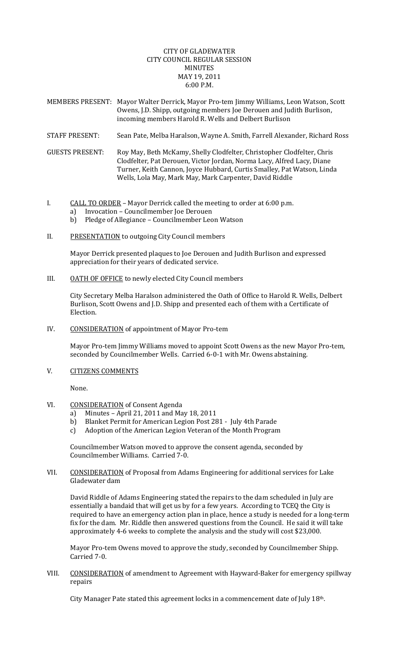## CITY OF GLADEWATER CITY COUNCIL REGULAR SESSION MINUTES MAY 19, 2011 6:00 P.M.

| MEMBERS PRESENT: Mayor Walter Derrick, Mayor Pro-tem Jimmy Williams, Leon Watson, Scott |
|-----------------------------------------------------------------------------------------|
| Owens, J.D. Shipp, outgoing members Joe Derouen and Judith Burlison,                    |
| incoming members Harold R. Wells and Delbert Burlison                                   |

- STAFF PRESENT: Sean Pate, Melba Haralson, Wayne A. Smith, Farrell Alexander, Richard Ross
- GUESTS PRESENT: Roy May, Beth McKamy, Shelly Clodfelter, Christopher Clodfelter, Chris Clodfelter, Pat Derouen, Victor Jordan, Norma Lacy, Alfred Lacy, Diane Turner, Keith Cannon, Joyce Hubbard, Curtis Smalley, Pat Watson, Linda Wells, Lola May, Mark May, Mark Carpenter, David Riddle
- I. CALL TO ORDER Mayor Derrick called the meeting to order at 6:00 p.m.
	- a) Invocation Councilmember Joe Derouen
	- b) Pledge of Allegiance Councilmember Leon Watson
- II. PRESENTATION to outgoing City Council members

Mayor Derrick presented plaques to Joe Derouen and Judith Burlison and expressed appreciation for their years of dedicated service.

III. OATH OF OFFICE to newly elected City Council members

City Secretary Melba Haralson administered the Oath of Office to Harold R. Wells, Delbert Burlison, Scott Owens and J.D. Shipp and presented each of them with a Certificate of Election.

IV. CONSIDERATION of appointment of Mayor Pro‐tem

 Mayor Pro‐tem Jimmy Williams moved to appoint Scott Owens as the new Mayor Pro‐tem, seconded by Councilmember Wells. Carried 6-0-1 with Mr. Owens abstaining.

V. CITIZENS COMMENTS

None.

- VI. CONSIDERATION of Consent Agenda
	- a) Minutes April 21, 2011 and May 18, 2011
	- b) Blanket Permit for American Legion Post 281 ‐ July 4th Parade
	- c) Adoption of the American Legion Veteran of the Month Program

Councilmember Watson moved to approve the consent agenda, seconded by Councilmember Williams. Carried 7‐0.

VII. CONSIDERATION of Proposal from Adams Engineering for additional services for Lake Gladewater dam

David Riddle of Adams Engineering stated the repairs to the dam scheduled in July are essentially a bandaid that will get us by for a few years. According to TCEQ the City is required to have an emergency action plan in place, hence a study is needed for a long-term fix for the dam. Mr. Riddle then answered questions from the Council. He said it will take approximately 4‐6 weeks to complete the analysis and the study will cost \$23,000.

Mayor Pro‐tem Owens moved to approve the study, seconded by Councilmember Shipp. Carried 7‐0.

VIII. CONSIDERATION of amendment to Agreement with Hayward-Baker for emergency spillway repairs

City Manager Pate stated this agreement locks in a commencement date of July 18th.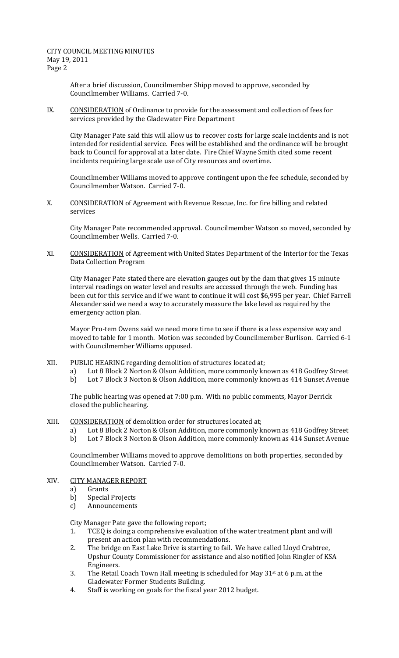CITY COUNCIL MEETING MINUTES May 19, 2011 Page 2

> After a brief discussion, Councilmember Shipp moved to approve, seconded by Councilmember Williams. Carried 7‐0.

IX. CONSIDERATION of Ordinance to provide for the assessment and collection of fees for services provided by the Gladewater Fire Department

City Manager Pate said this will allow us to recover costs for large scale incidents and is not intended for residential service. Fees will be established and the ordinance will be brought back to Council for approval at a later date. Fire Chief Wayne Smith cited some recent incidents requiring large scale use of City resources and overtime.

Councilmember Williams moved to approve contingent upon the fee schedule, seconded by Councilmember Watson. Carried 7‐0.

X. CONSIDERATION of Agreement with Revenue Rescue, Inc. for fire billing and related services

City Manager Pate recommended approval. Councilmember Watson so moved, seconded by Councilmember Wells. Carried 7‐0.

XI. CONSIDERATION of Agreement with United States Department of the Interior for the Texas Data Collection Program

City Manager Pate stated there are elevation gauges out by the dam that gives 15 minute interval readings on water level and results are accessed through the web. Funding has been cut for this service and if we want to continue it will cost \$6,995 per year. Chief Farrell Alexander said we need a way to accurately measure the lake level as required by the emergency action plan.

Mayor Pro‐tem Owens said we need more time to see if there is a less expensive way and moved to table for 1 month. Motion was seconded by Councilmember Burlison. Carried 6‐1 with Councilmember Williams opposed.

- XII. PUBLIC HEARING regarding demolition of structures located at;
	- a) Lot 8 Block 2 Norton & Olson Addition, more commonly known as 418 Godfrey Street
	- b) Lot 7 Block 3 Norton & Olson Addition, more commonly known as 414 Sunset Avenue

The public hearing was opened at 7:00 p.m. With no public comments, Mayor Derrick closed the public hearing.

- XIII. CONSIDERATION of demolition order for structures located at;
	- a) Lot 8 Block 2 Norton & Olson Addition, more commonly known as 418 Godfrey Street
	- b) Lot 7 Block 3 Norton & Olson Addition, more commonly known as 414 Sunset Avenue

Councilmember Williams moved to approve demolitions on both properties, seconded by Councilmember Watson. Carried 7‐0.

- XIV. CITY MANAGER REPORT
	- a) Grants
	- b) Special Projects
	- c) Announcements

City Manager Pate gave the following report;

- 1. TCEQ is doing a comprehensive evaluation of the water treatment plant and will present an action plan with recommendations.
- 2. The bridge on East Lake Drive is starting to fail. We have called Lloyd Crabtree, Upshur County Commissioner for assistance and also notified John Ringler of KSA Engineers.
- 3. The Retail Coach Town Hall meeting is scheduled for May  $31^{st}$  at 6 p.m. at the Gladewater Former Students Building.
- 4. Staff is working on goals for the fiscal year 2012 budget.